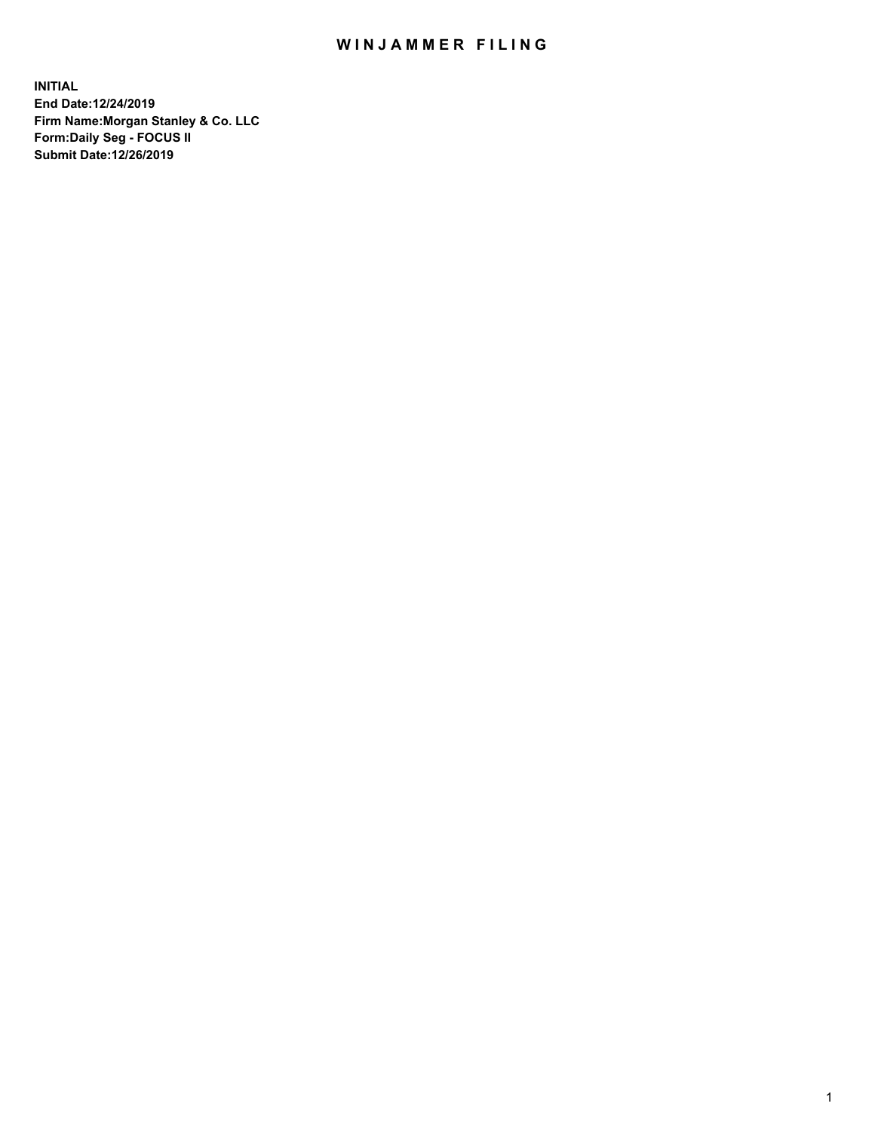## WIN JAMMER FILING

**INITIAL End Date:12/24/2019 Firm Name:Morgan Stanley & Co. LLC Form:Daily Seg - FOCUS II Submit Date:12/26/2019**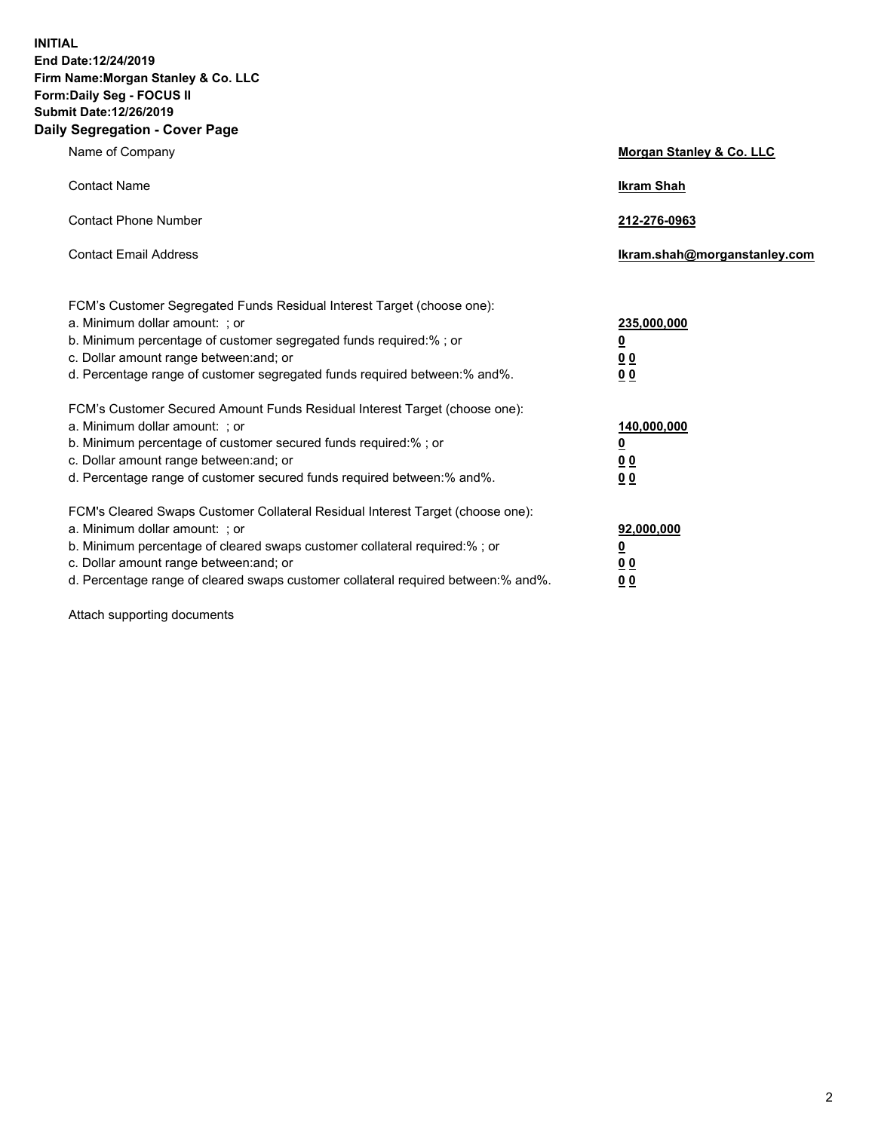**INITIAL End Date:12/24/2019 Firm Name:Morgan Stanley & Co. LLC Form:Daily Seg - FOCUS II Submit Date:12/26/2019 Daily Segregation - Cover Page**

| Name of Company                                                                                                                                                                                                                                                                                                                | Morgan Stanley & Co. LLC                               |
|--------------------------------------------------------------------------------------------------------------------------------------------------------------------------------------------------------------------------------------------------------------------------------------------------------------------------------|--------------------------------------------------------|
| <b>Contact Name</b>                                                                                                                                                                                                                                                                                                            | <b>Ikram Shah</b>                                      |
| <b>Contact Phone Number</b>                                                                                                                                                                                                                                                                                                    | 212-276-0963                                           |
| <b>Contact Email Address</b>                                                                                                                                                                                                                                                                                                   | Ikram.shah@morganstanley.com                           |
| FCM's Customer Segregated Funds Residual Interest Target (choose one):<br>a. Minimum dollar amount: : or<br>b. Minimum percentage of customer segregated funds required:% ; or<br>c. Dollar amount range between: and; or<br>d. Percentage range of customer segregated funds required between:% and%.                         | 235,000,000<br><u>0</u><br>0 <sub>0</sub><br><u>00</u> |
| FCM's Customer Secured Amount Funds Residual Interest Target (choose one):<br>a. Minimum dollar amount: ; or<br>b. Minimum percentage of customer secured funds required:% ; or<br>c. Dollar amount range between: and; or<br>d. Percentage range of customer secured funds required between:% and%.                           | 140,000,000<br><u>0</u><br><u>00</u><br>0 <sub>0</sub> |
| FCM's Cleared Swaps Customer Collateral Residual Interest Target (choose one):<br>a. Minimum dollar amount: ; or<br>b. Minimum percentage of cleared swaps customer collateral required:% ; or<br>c. Dollar amount range between: and; or<br>d. Percentage range of cleared swaps customer collateral required between:% and%. | 92,000,000<br><u>0</u><br><u>00</u><br>0 <sub>0</sub>  |

Attach supporting documents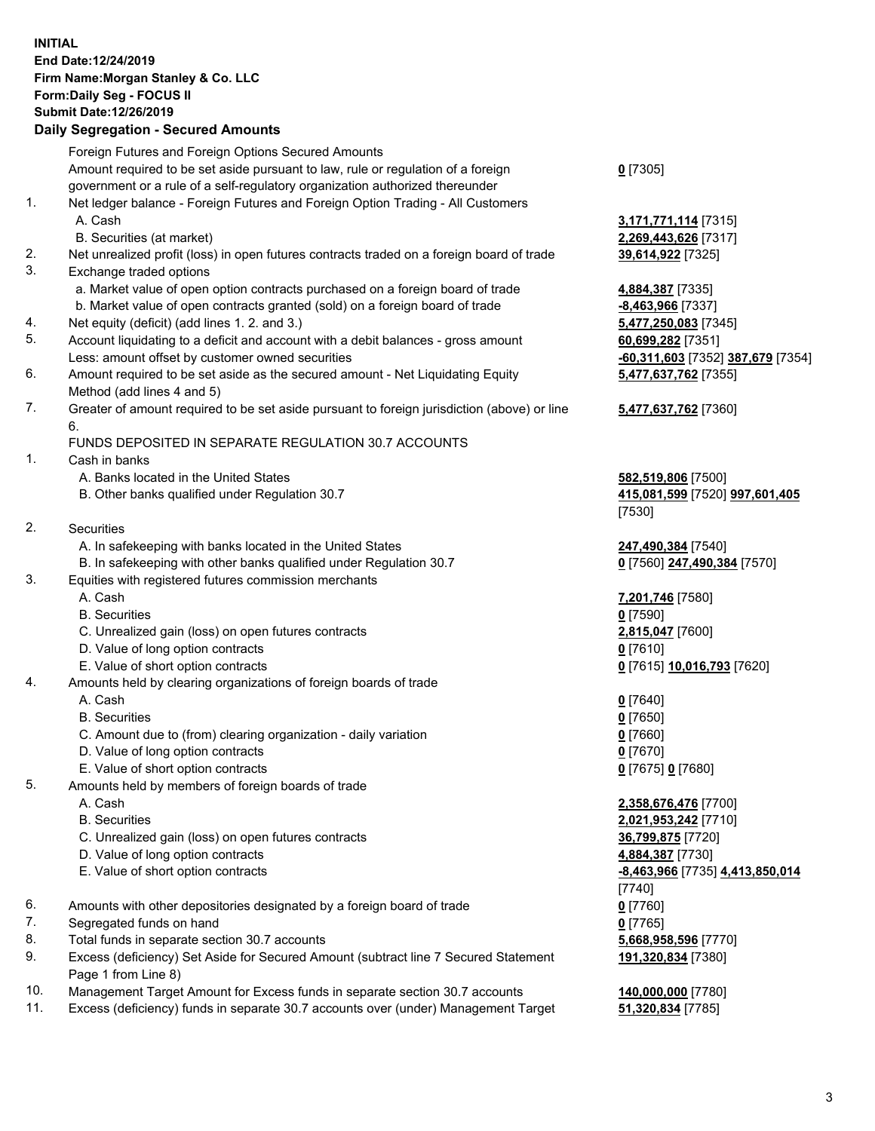## **INITIAL End Date:12/24/2019 Firm Name:Morgan Stanley & Co. LLC Form:Daily Seg - FOCUS II Submit Date:12/26/2019**

## **Daily Segregation - Secured Amounts**

|          | Foreign Futures and Foreign Options Secured Amounts                                                                                   |                                           |
|----------|---------------------------------------------------------------------------------------------------------------------------------------|-------------------------------------------|
|          | Amount required to be set aside pursuant to law, rule or regulation of a foreign                                                      | $0$ [7305]                                |
|          | government or a rule of a self-regulatory organization authorized thereunder                                                          |                                           |
| 1.       | Net ledger balance - Foreign Futures and Foreign Option Trading - All Customers                                                       |                                           |
|          | A. Cash                                                                                                                               | 3,171,771,114 [731                        |
|          | B. Securities (at market)                                                                                                             | 2,269,443,626 [731                        |
| 2.<br>3. | Net unrealized profit (loss) in open futures contracts traded on a foreign board of trade                                             | 39,614,922 [7325]                         |
|          | Exchange traded options                                                                                                               |                                           |
|          | a. Market value of open option contracts purchased on a foreign board of trade                                                        | 4,884,387 [7335]                          |
| 4.       | b. Market value of open contracts granted (sold) on a foreign board of trade<br>Net equity (deficit) (add lines 1.2. and 3.)          | <u>-8,463,966</u> [7337]                  |
| 5.       |                                                                                                                                       | 5,477,250,083 [734                        |
|          | Account liquidating to a deficit and account with a debit balances - gross amount<br>Less: amount offset by customer owned securities | 60,699,282 [7351]<br>$-60,311,603$ [7352] |
| 6.       | Amount required to be set aside as the secured amount - Net Liquidating Equity                                                        | 5,477,637,762 [735                        |
|          | Method (add lines 4 and 5)                                                                                                            |                                           |
| 7.       | Greater of amount required to be set aside pursuant to foreign jurisdiction (above) or line                                           | 5,477,637,762 [736                        |
|          | 6.                                                                                                                                    |                                           |
|          | FUNDS DEPOSITED IN SEPARATE REGULATION 30.7 ACCOUNTS                                                                                  |                                           |
| 1.       | Cash in banks                                                                                                                         |                                           |
|          | A. Banks located in the United States                                                                                                 | 582,519,806 [7500]                        |
|          | B. Other banks qualified under Regulation 30.7                                                                                        | 415,081,599 [7520]                        |
|          |                                                                                                                                       | [7530]                                    |
| 2.       | Securities                                                                                                                            |                                           |
|          | A. In safekeeping with banks located in the United States                                                                             | 247,490,384 [7540]                        |
|          | B. In safekeeping with other banks qualified under Regulation 30.7                                                                    | 0 [7560] 247,490,3                        |
| 3.       | Equities with registered futures commission merchants                                                                                 |                                           |
|          | A. Cash                                                                                                                               | 7,201,746 [7580]                          |
|          | <b>B.</b> Securities                                                                                                                  | $0$ [7590]                                |
|          | C. Unrealized gain (loss) on open futures contracts                                                                                   | 2,815,047 [7600]                          |
|          | D. Value of long option contracts                                                                                                     | $0$ [7610]                                |
|          | E. Value of short option contracts                                                                                                    | 0 [7615] 10,016,79:                       |
| 4.       | Amounts held by clearing organizations of foreign boards of trade                                                                     |                                           |
|          | A. Cash                                                                                                                               | $0$ [7640]                                |
|          | <b>B.</b> Securities                                                                                                                  | $0$ [7650]                                |
|          | C. Amount due to (from) clearing organization - daily variation                                                                       | $0$ [7660]                                |
|          | D. Value of long option contracts                                                                                                     | $0$ [7670]                                |
|          | E. Value of short option contracts                                                                                                    | 0 [7675] 0 [7680]                         |
| 5.       | Amounts held by members of foreign boards of trade                                                                                    |                                           |
|          | A. Cash                                                                                                                               | 2,358,676,476 [770                        |
|          | <b>B.</b> Securities                                                                                                                  | 2,021,953,242 [771                        |
|          | C. Unrealized gain (loss) on open futures contracts                                                                                   | 36,799,875 [7720]                         |
|          | D. Value of long option contracts                                                                                                     | 4,884,387 [7730]                          |
|          | E. Value of short option contracts                                                                                                    | <u>-8,463,966</u> [7735] 4                |
|          |                                                                                                                                       | $[7740]$                                  |
| 6.       | Amounts with other depositories designated by a foreign board of trade                                                                | $0$ [7760]                                |
| 7.       | Segregated funds on hand                                                                                                              | $0$ [7765]                                |
| 8.       | Total funds in separate section 30.7 accounts                                                                                         | 5,668,958,596 [777                        |
| 9.       | Excess (deficiency) Set Aside for Secured Amount (subtract line 7 Secured Statement                                                   | 191,320,834 [7380]                        |
|          | Page 1 from Line 8)                                                                                                                   |                                           |

- 10. Management Target Amount for Excess funds in separate section 30.7 accounts **140,000,000** [7780]
- 11. Excess (deficiency) funds in separate 30.7 accounts over (under) Management Target **51,320,834** [7785]

 A. Cash **3,171,771,114** [7315] **8.626** [7317]

60.083 [7345] Less: amount offset by customer owned securities **-60,311,603** [7352] **387,679** [7354] **5,477,637,762** [7355]

## **5,477,637,762** [7360]

B. Other banks qualified under Regulation 30.7 **415,081,599** [7520] **997,601,405**

**247,490,384** [7570]

E. Value of short option contracts **0** [7615] **10,016,793** [7620]

 A. Cash **2,358,676,476** [7700] **3,242** [7710] E. Value of short option contracts **-8,463,966** [7735] **4,413,850,014** 8.596 [7770] **191,320,834** [7380]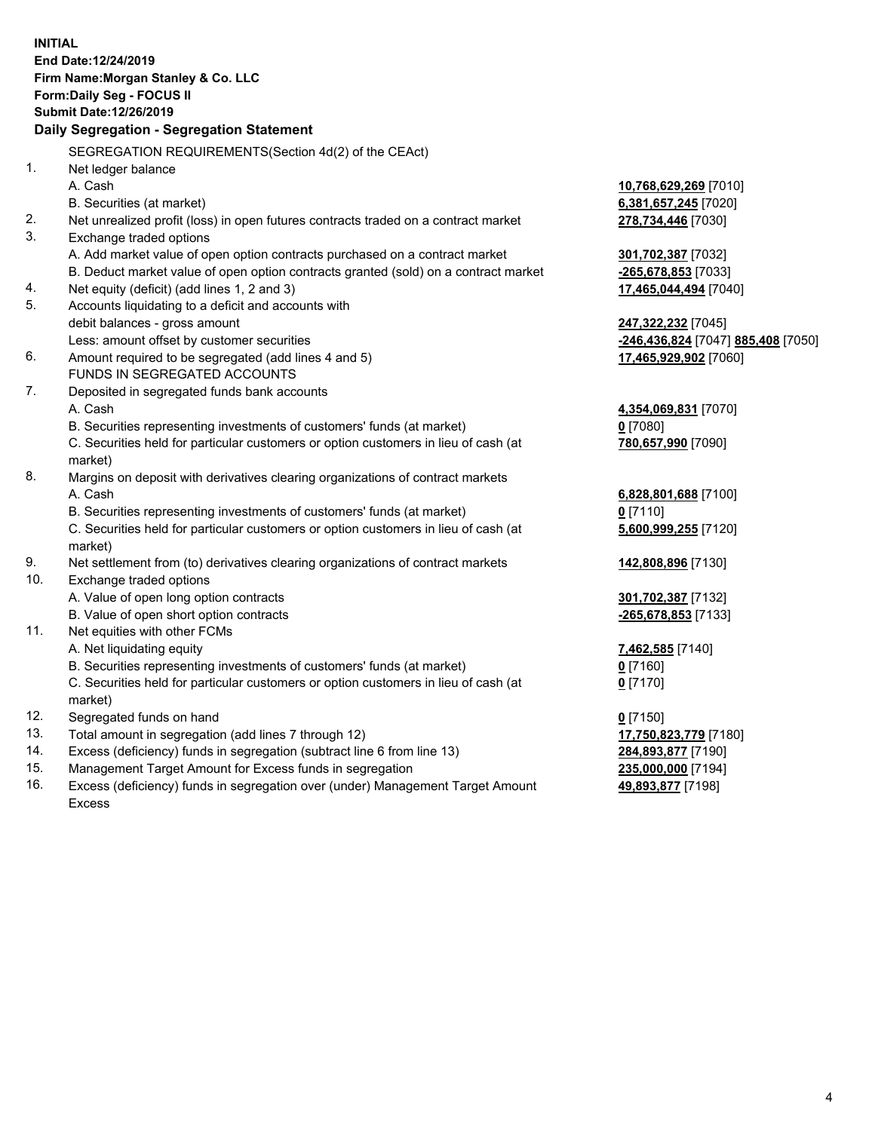**INITIAL End Date:12/24/2019 Firm Name:Morgan Stanley & Co. LLC Form:Daily Seg - FOCUS II Submit Date:12/26/2019 Daily Segregation - Segregation Statement** SEGREGATION REQUIREMENTS(Section 4d(2) of the CEAct) 1. Net ledger balance A. Cash **10,768,629,269** [7010] B. Securities (at market) **6,381,657,245** [7020] 2. Net unrealized profit (loss) in open futures contracts traded on a contract market **278,734,446** [7030] 3. Exchange traded options A. Add market value of open option contracts purchased on a contract market **301,702,387** [7032] B. Deduct market value of open option contracts granted (sold) on a contract market **-265,678,853** [7033] 4. Net equity (deficit) (add lines 1, 2 and 3) **17,465,044,494** [7040] 5. Accounts liquidating to a deficit and accounts with debit balances - gross amount **247,322,232** [7045] Less: amount offset by customer securities **-246,436,824** [7047] **885,408** [7050] 6. Amount required to be segregated (add lines 4 and 5) **17,465,929,902** [7060] FUNDS IN SEGREGATED ACCOUNTS 7. Deposited in segregated funds bank accounts A. Cash **4,354,069,831** [7070] B. Securities representing investments of customers' funds (at market) **0** [7080] C. Securities held for particular customers or option customers in lieu of cash (at market) **780,657,990** [7090] 8. Margins on deposit with derivatives clearing organizations of contract markets A. Cash **6,828,801,688** [7100] B. Securities representing investments of customers' funds (at market) **0** [7110] C. Securities held for particular customers or option customers in lieu of cash (at market) **5,600,999,255** [7120] 9. Net settlement from (to) derivatives clearing organizations of contract markets **142,808,896** [7130] 10. Exchange traded options A. Value of open long option contracts **301,702,387** [7132] B. Value of open short option contracts **-265,678,853** [7133] 11. Net equities with other FCMs A. Net liquidating equity **7,462,585** [7140] B. Securities representing investments of customers' funds (at market) **0** [7160] C. Securities held for particular customers or option customers in lieu of cash (at market) **0** [7170] 12. Segregated funds on hand **0** [7150] 13. Total amount in segregation (add lines 7 through 12) **17,750,823,779** [7180] 14. Excess (deficiency) funds in segregation (subtract line 6 from line 13) **284,893,877** [7190] 15. Management Target Amount for Excess funds in segregation **235,000,000** [7194]

16. Excess (deficiency) funds in segregation over (under) Management Target Amount Excess

**49,893,877** [7198]